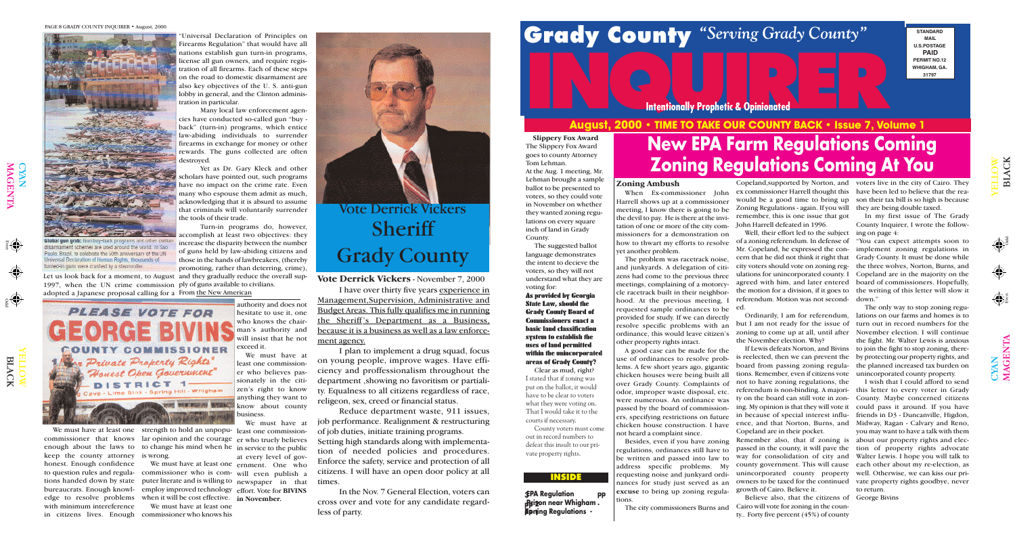

Odd

 $\bigcirc$ YAN MAG

Even

 $\overline{\mathbf{r}}$  $\mathsf{Z}% _{0}\!\left( \mathcal{M}\right) \equiv\mathcal{M}\!\left( \mathcal{M}\right)$  $\boldsymbol{\Xi}$ 

# **August, 2000 • TIME TO TAKE OUR COUNTY BACK • Issue 7, Volume 1 INCORPORATIVE TO TAKE OUR COUNTY PACK A LOUISE 7. 1/2**

**3EPA Regulation pp pp 2 Prison near Whigham . Zpring Regulations -**

## Grady County "Serving Grady County"

YE  $\blacksquare$ L O  $\Xi$ LAC

W

K

**Hobal qun grab**e Gun buy-back programs and other civilia fisarmament schemes are used around the world. In Sao-Paulo, Brazil, to celebrate the 50th anniversary of the UN niversal Declaration of Human Rights, thousands of turned-in guns were crushed by a steamroller

#### **INSIDE**

Let us look back for a moment, to August and they gradually reduce the overall sup-1997, when the UN crime commission ply of guns available to civilians. adopted a Japanese proposal calling for a From <u>the New American</u>

**STANDARD MAIL U.S.POSTAGE PAID PERMIT NO.12 WHIGHAM, GA. 31797**

**Intentionally Prophetic & Opinionated** 

PAGE 8 GRADY COUNTY INQUIRER • August, 2000



 $\bigcap$ 

'(()

## **New EPA Farm Regulations Coming Zoning Regulations Coming At You**

Universal Declaration of Principles on Firearms Regulation" that would have all nations establish gun turn-in programs, license all gun owners, and require registration of all firearms. Each of these steps on the road to domestic disarmament are also key objectives of the U. S. anti-gun lobby in general, and the Clinton administration in particular.

Many local law enforcement agencies have conducted so-called gun "buy back" (turn-in) programs, which entice law-abiding individuals to surrender firearms in exchange for money or other rewards. The guns collected are often destroyed.

We must have at least one strength to hold an unpopu-least one commissioncommissioner that knows lar opinion and the courage er who truely believes enough about the laws to to change his mind when he in service to the public keep the county attorney honest. Enough confidence to question rules and regulations handed down by state puter literate and is willing to newspaper in that bureaucrats. Enough knowledge to resolve problems when it will be cost effective. **in November.** with minimum intereference in citizens lives. Enough commissioner who knows his

Yet as Dr. Gary Kleck and other scholars have pointed out, such programs have no impact on the crime rate. Even many who espouse them admit as much, acknowledging that it is absurd to assume that criminals will voluntarily surrender the tools of their trade.

Turn-in programs do, however, accomplish at least two objectives: they increase the disparity between the number of guns held by law-abiding citizens and those in the hands of lawbreakers, (thereby promoting, rather than deterring, crime),



is wrong.

We must have at least one

authority and does not hesitate to use it, one who knows the chairman's authority and will insist that he not exceed it.

We must have at least one ernment. One who commissioner who is com-will even publish a employ improved technology effort. Vote for **BIVINS** We must have at at every level of gov-



referendum is non-binding. A majori-this letter to every voter in Grady ty on the board can still vote in zon-County. Maybe concerned citizens ing. My opinion is that they will vote it could pass it around. If you have in because of special interest influ-friends in D3 - Duncanville, Higdon, ence, and that Norton, Burns, and Midway, Ragan - Calvary and Reno, Remember also, that if zoning is about our property rights and elecpassed in the county, it will pave the tion of property rights advocate county government. This will cause each other about my re-election, as unincorporated county property well. Otherwise, we can kiss our priowners to be taxed for the continued vate property rights goodbye, never I wish that I could afford to send you may want to have a talk with them Walter Lewis. I hope you will talk to to return

We must have at least one commissioner who believes passionately in the citizen's right to know anything they want to know about county business.

#### **Zoning Ambush**

When Ex-commissioner John Harrell shows up at a commissioner meeting, I know there is going to be the devil to pay. He is there at the invitation of one or more of the city commissioners for a demonstration on how to thwart my efforts to resolve yet another problem.

The problem was racetrack noise, and junkyards. A delegation of citizens had come to the previous three meetings, complaining of a motorcycle racetrack built in their neighborhood. At the previous meeting, I requested sample ordinances to be provided for study. If we can directly resolve specific problems with an ordinance, this would leave citizen's other property rights intact.

A good case can be made for the use of ordinances to resolve problems. A few short years ago, gigantic chicken houses were being built all over Grady County. Complaints of odor, improper waste disposal, etc. were numerous. An ordinance was passed by the board of commissioners, specifying restrictions on future chicken house construction. I have not heard a complaint since.

Besides, even if you have zoning regulations, ordinances still have to be written and passed into law to address specific problems. My requesting noise and junkyard ordinances for study just served as an **excuse** to bring up zoning regulations.

The city commissioners Burns and

Zoning Regulations - again. If you will remember, this is one issue that got John Harrell defeated in 1996.

Well, their effort led to the subject ing on page 4: cern that he did not think it right that referendum. Motion was not second-down." ed.

the November election. Why?

Copeland,supported by Norton, and voters live in the city of Cairo. They ex commissioner Harrell thought this have been led to believe that the reawould be a good time to bring up son their tax bill is so high is because they are being double taxed.

board from passing zoning regulations. Remember, even if citizens vote not to have zoning regulations, the Copeland are in their pocket.

of a zoning referendum. In defense of "You can expect attempts soon to Mr. Copeland, he expressed the con-implement zoning regulations in city voters should vote on zoning reg-the three wolves, Norton, Burns, and ulations for unincorporated county. I Copeland are in the majority on the agreed with him, and later entered board of commissioners. Hopefully, the motion for a division, if it goes to the writing of this letter will slow it Grady County. It must be done while

way for consolidation of city and growth of Cairo. Believe it.

Believe also, that the citizens of George Bivins Cairo will vote for zoning in the county.. Forty five percent (45%) of county

Ordinarily, I am for referendum, lations on our farms and homes is to but I am not ready for the issue of turn out in record numbers for the zoning to come up at all, until after November election. I will continue If Lewis defeats Norton, and Bivins to join the fight to stop zoning, thereis reelected, then we can prevent the by protecting our property rights, and The only way to stop zoning reguthe fight. Mr. Walter Lewis is anxious the planned increased tax burden on unincorporated county property.

In my first issue of The Grady County Inquirer, I wrote the follow-

**Slippery Fox Award** The Slippery Fox Award goes to county Attorney Tom Lehman.

At the Aug. 1 meeting, Mr. Lehman brought a sample ballot to be presented to voters, so they could vote in November on whether they wanted zoning regulations on every square inch of land in Grady

County.

The suggested ballot language demonstrates the intent to decieve the voters, so they will not understand what they are voting for:

**As provided by Georgia State Law, should the Grady County Board of Commissioners enact a basic land classification system to establish the uses of land permitted within the unincorporated areas of Grady County?** Clear as mud, right? I stated that if zoning was put on the ballot, it would have to be clear to voters what they were voting on. That I would take it to the courts if necessary. County voters must come out in record numbers to defeat this insult to our private property rights.

#### **Vote Derrick Vickers** - November 7, 2000

I have over thirty five years experience in Management,Supervision, Administrative and Budget Areas. This fully qualifies me in running the Sheriff 's Department as a Business, because it is a business as well as a law enforcement agency.

I plan to implement a drug squad, focus on young people, improve wages. Have efficiency and proffessionalism throughout the department ,showing no favoritism or partiality. Equalness to all citizens regardless of race, religeon, sex, creed or financial status.

Reduce department waste, 911 issues, job performance. Realignment & restructuring of job duties, initiate training programs.

Setting high standards along with implementation of needed policies and procedures. Enforce the safety, service and protection of all citizens. I will have an open door policy at all times.

In the Nov. 7 General Election, voters can cross over and vote for any candidate regardless of party.

### Vote Derrick Vickers **Sheriff** Grady County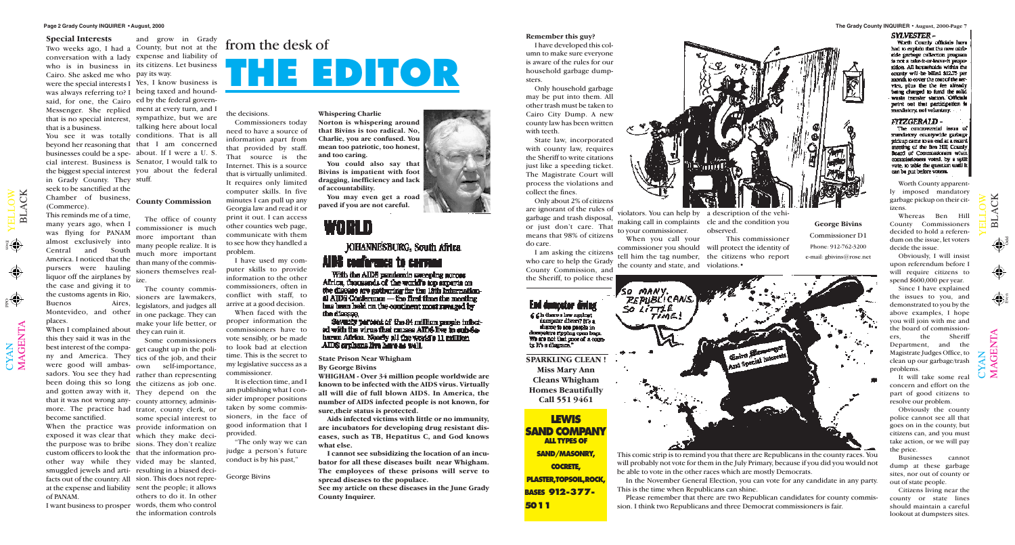$\mathbf{\Xi}$  $\overline{\phantom{0}}$  $\blacktriangleleft$ C K

#### **The Grady County INQUIRER • August, 2000-Page 7**

 $\mathbf{\Omega}$  $\overline{\phantom{0}}$  $\blacktriangleleft$ C K

 $\mathbf{\Sigma}% _{1}\left( t\right)$  $\blacktriangleleft$ G  $\bf \Xi$  $\bm{\mathsf{Z}}$  $\boldsymbol{\Xi}$ 

Odd

Even

Odd Even

**THE EDITOR**

#### **Special Interests**

Cairo. She asked me who pay its way. were the special interests I Yes, I know business is was always referring to? I being taxed and houndsaid, for one, the Cairo ed by the federal govern-Messenger. She replied ment at every turn, and I that is no special interest, sympathize, but we are that is a business.

When I complained about they can ruin it. this they said it was in the best interest of the compa-get caught up in the poliny and America. They tics of the job, and their were good will ambas-own self-importance, sadors. You see they had rather than representing been doing this so long the citizens as job one. and gotten away with it, They depend on the that it was not wrong any-county attorney, adminismore. The practice had trator, county clerk, or become sanctified.

 $\bigcup$  $\bm{\mathsf{X}}$  $\mathsf{Z}_\mathsf{I}$ 

 $\blacktriangleright$  $\blacksquare$  $\overline{\phantom{0}}$  $\overline{\phantom{0}}$  $\bigcirc$  $\geqslant$ 

beyond her reasoning that that I am concerned businesses could be a spe-about. If I were a U. S. cial interest. Business is Senator, I would talk to the biggest special interest you about the federal in Grady County. They stuff. seek to be sanctified at the Chamber of business, **County Commission** (Commerce). This reminds me of a time,

many years ago, when I was flying for PANAM almost exclusively into Central and South America. I noticed that the pursers were hauling liquor off the airplanes by <sub>ize.</sub> the case and giving it to the customs agents in Rio, Buenos Aires, legislators, and judges all Montevideo, and other places.

When the practice was provide information on exposed it was clear that which they make decithe purpose was to bribe sions. They don't realize custom officers to look the that the information proother way while they vided may be slanted, smuggled jewels and arti-resulting in a biased decifacts out of the country. All sion. This does not repreat the expense and liability sent the people; it allows of PANAM.

#### **Remember this guy?**

I have developed this column to make sure everyone is aware of the rules for our household garbage dumpsters.

Only household garbage may be put into them. All other trash must be taken to Cairo City Dump. A new county law has been written with teeth.

State law, incorporated with county law, requires the Sheriff to write citations just like a speeding ticket. The Magistrate Court will process the violations and collect the fines.

conversation with a lady expense and liability of who is in business in its citizens. Let business and grow in Grady

> Only about 2% of citizens are ignorant of the rules of garbage and trash disposal, or just don't care. That means that 98% of citizens

do care.

#### End dumpstor diving f f la there a law against dampsier divers? It's a

share to see people in dumpsiers rhoping open bags. We are not that proved a county it's a disgram.

You see it was totally conditions. That is all talking here about local

I am asking the citizens who care to help the Grady County Commission, and the Sheriff, to police these

to your commissioner.

violators. You can help by a description of the vehimaking call in complaints cle and the condition you observed.

When you call your commissioner you should will protect the identity of tell him the tag number, the citizens who report the county and state, and violations.•

This commissioner

Worth County apparently imposed mandatory garbage pickup on their citizens.

Whereas Ben Hill County Commissioners decided to hold a referendum on the issue, let voters decide the issue.

Obviously, I will insist upon referendum before I will require citizens to spend \$600,000 per year.

Since I have explained the issues to you, and demonstrated to you by the above examples, I hope you will join with me and the board of commissioners, the Sheriff Department, and the Magistrate Judges Office, to clean up our garbage/trash problems.

I want business to prosper words, them who control some special interest to others to do it. In other the information controls

### Two weeks ago, I had a County, but not at the  $\lim_{n \to \infty}$  the desk of

It will take some real concern and effort on the part of good citizens to resolve our problem.

Obviously the county police cannot see all that goes on in the county, but citizens can, and you must take action, or we will pay the price.

Businesses cannot dump at these garbage sites, nor out of county or out of state people.

Citizens living near the county or state lines should maintain a careful lookout at dumpsters sites.

 $\blacktriangleright$  $\blacksquare$  $\overline{\phantom{0}}$  $\overline{\phantom{0}}$  $\bigcirc$  $\geqslant$ 

The office of county commissioner is much more important than many people realize. It is much more important than many of the commissioners themselves real-

The county commissioners are lawmakers, in one package. They can make your life better, or

Some commissioners

the decisions.

Commissioners today need to have a source of information apart from that provided by staff. That source is the Internet. This is a source that is virtually unlimited. It requires only limited computer skills. In five minutes I can pull up any Georgia law and read it or print it out. I can access other counties web page, communicate with them to see how they handled a problem.

I have used my computer skills to provide information to the other commissioners, often in conflict with staff, to arrive at a good decision.

When faced with the proper information the commissioners have to vote sensibly, or be made to look bad at election time. This is the secret to my legislative success as a commissioner.

It is election time, and I am publishing what I consider improper positions taken by some commissioners, in the face of good information that I provided.

"The only way we can judge a person's future conduct is by his past,"

George Bivins



This comic strip is to remind you that there are Republicans in the county races. You will probably not vote for them in the July Primary, because if you did you would not be able to vote in the other races which are mostly Democrats.

In the November General Election, you can vote for any candidate in any party. This is the time when Republicans can shine.

Please remember that there are two Republican candidates for county commission. I think two Republicans and three Democrat commissioners is fair.

#### **SYLVESTER-**

Worth County officials have had to explain that the new corband to suppose collection program<br>is not a take-it-or-leave-it proposition. All bounchoids within the county will be billed \$12.75 per month to cover the cost of the nervica, plus the the fee already being changed to fund the colla wasta transfer station. Officials point out that participation is mandatory, not voluntary.

#### FITZGERALD -

The controversial issue of mundatory countywide garbage pickup came to an end at a recent meeting of the Ben HIII County Board of Commissioners when commissioners when<br>commissioners voted, by a split<br>vote, to table the question until it can be put before voters.

**State Prison Near Whigham By George Bivins**

**WHIGHAM - Over 34 million people worldwide are known to be infected with the AIDS virus. Virtually all will die of full blown AIDS. In America, the number of AIDS infected people is not known, for sure,their status is protected.**

**Aids infected victims with little or no immunity, are incubators for developing drug resistant diseases, such as TB, Hepatitus C, and God knows what else.**

**I cannot see subsidizing the location of an incubator for all these diseases built near Whigham. The employees of these prisons will serve to spread diseases to the populace.**

**See my article on these diseases in the June Grady County Inquirer.**







#### **Whispering Charlie**

**Norton is whispering around that Bivins is too radical. No, Charlie, you are confused. You mean too patriotic, too honest, and too caring.**

**You could also say that Bivins is impatient with foot dragging, inefficiency and lack of accountability.** 

**You may even get a road paved if you are not careful.**

### MA H JOHANNESBURG, South Africa AIDS conference to correno

With the AIDS pundands usesping across Africa, thousands of the world's top structs on the disease are cothering for the 12th Internation- $\triangle$  AIDS Conference - the first time the meeting has been held on the continent most rayaged by the disease.

Seventy percent of the 84 million panels infactad with the virus that ranses AIDS live in sub-Sebaran Africa. Neady all the world's 11 million AIDS orphans live have as well.

**George Bivins**  Commissioner D1 Phone: 912-762-3200 e-mail: gbivins@rose.net

**SPARKLING CLEAN ! Miss Mary Ann Cleans Whigham Homes Beautifully**

**Call 551 9461**

**LEWIS**

**SAND COMPANY**

**ALL TYPES OF**

**SAND/MASONRY,**

**COCRETE,**

**PLASTER,TOPSOIL,ROCK, BASES 912-377-**

**5011**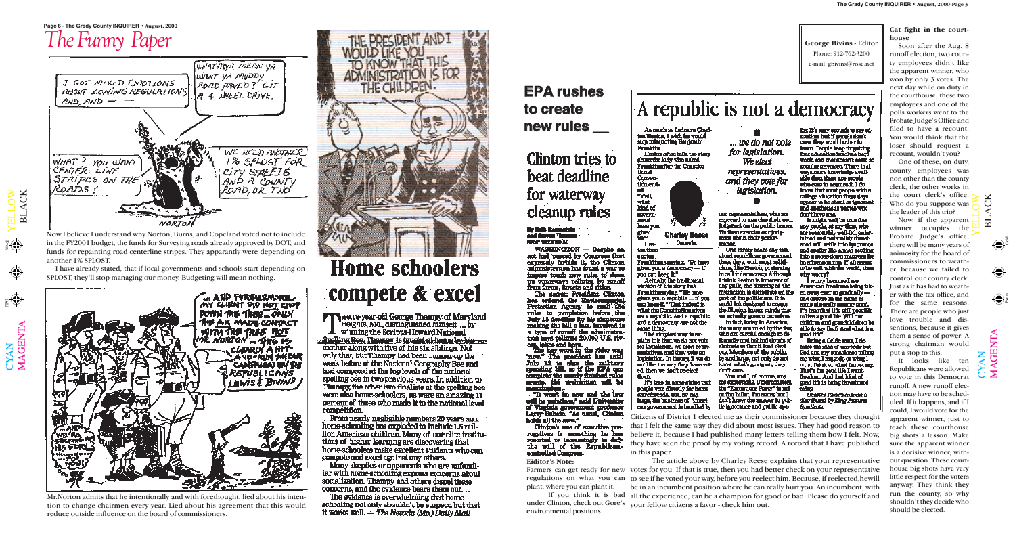YELLOW

CYAN<br>MAGENTA MAGENTA

 $_{2}$ 

BLACK

YELLOW

 $\Theta$ 

BLACK

#### **Page 6 - The Grady County INQUIRER • August, 2000**

### *The Funny Paper*  WHATTAVA MEAN VA WANT YA MUDDY I GOT MIXED ENPOTIONS ROAD PAVED? GIT **ABOUT ZONING REGULATIONS** A 4 UNEEL DRUVE.  $AND, AND \rightarrow -$ WE NEED PULTIMER 1% SPLOST FOR WHAT ? YOU WANT CENTER LINE CITY STREETS AND A COUNTY STRIPES ON THE Ronis ? ROAD, OR TUO'

EPA rushes **to create new rules \_\_** 

### Clinton tries to beat deadline for waterway cleanup rules

### ily Gott Bannatski<br>and Steven Themas

WASHINGTON - Despite an act fust peased by Congress that<br>expressly forbids it, the Clinton administration has found a way to dempertement as some a way to happen tough new rules to clean to waterways polluted by runoff<br>them forms, forests and clines.<br>The issuest President Clinton.<br>hes ordered the Environmental.

nus cromen the anturoupped.<br>
Protection Agency to runn the<br>
rules to completion before the<br>
July 13 deadline for his algorithme<br>
making the hill a law. Invalved in a type of runoff the administration mys politics 20,000 U.S. riv-<br>crs. lettes and have

The key word in the rider was spanding bill, so if the EPA one complete the nearly-finished rules

"It won't be new and the law will be pulntless," and University of Virginia government professor<br>Larry Sabato. "As usual, Chinton holds all the area."

Clinton's use of executive preregatives is comothing he has resurted to increasingly to daty the will of the Republicancontrolled Congress.

Odd

Even

Odd Even

#### **Eiditor's Note:**

plant, where you can plant it.

environmental positions.



Hesten often tells the story<br>about the lady who asked Franklin after the Constitu**time!** 



**Charley Reses Dolumnist** Her-

ton then **GROOM** 

Franklin as saying, "We have<br>given you a democracy -- if you can keep it."

Actually the traditional version of the story has Franklin saying "We have<br>given you a republic -- if you can hasp if." That indeed is what the Constitution gives use a regulatio. And a regulation and a demourany are not the same thing.

The simplest way to ex-<br>plain it is that we do not vote for legislation. We elect representatives, and they vote on legislation. In theory, if we do not like the way they have voted, then we don't re-elect 价值价

It's true in some states that people vote directly for hems on referends, but, by and large, the business of American government is handled by

... use do not vote for legislation. We elect representatives. and they vote for legislation.

A republic is not a democracy

one representatives, who are expected to exercise their own. tudgement on the public leaves. We then exercise our judg-<br>ment shout their perfor-**THOMA** 

One rarely hears any talk about republican povernment<br>these days, with most politically<br>clams, him Heaton, preferring to call it democracy. Although I think Heston is knocent of any gulle, the blurring of the distinction is deliberate on the part of the politicisms. It is equiled that developed to create the filanton in our minds that we actually govern currenty.

In fact, today in America, the many are ruled by the five, who are careful enough to do it gently and bahind clouds of rhetoric an that it fan't obylons. Members of the public, by and large, not only do not kitow what's going on, they that care.

You and I, of course, are the exceptions. Unfortunately, the "Emergitum Party" is no on the belief. The surry but I don't know the answer to pub-He ignorance and public apathy. It's cary enough to say ed-<br>upstion, but if people don't care, they want bother to that education involves hard work, and that doesn't seem so popular anymore. There is always more incordedge swiftable than there are neonle who care to acutates it. I do know that most people with a college education these days appear to be about as knocket and apathotic as people who don't have me.

**George Bivins**  - Editor Phone: 912-762-3200 e-mail: gbivins@rose.net

It might well be true that any people, at any time, who are reasonably well-fiel, entertained and not visibly threatened will settle into ignorance and apathy like a man setting into a goose-down mattress for an allocation nap. If all seems to be well with the world, then प्रोत कारही

I wurry because I see American freedoms being taken avere ever un gradually and always in the name of some allegedly greater good.<br>It's true that it is still possible to live a good life. Will our children and standchildren beable to say that? And what is a good title?

Being a Celtic man, I deaples the idea of unybody but God and my cunaclance talling me what I must do or what I noust think or what I must say. That's the good life I want. freedom. And that kind of god the is being threatened

Charles Roose's cohean is . distributed by King Flasherm

Mr.Norton admits that he intentionally and with forethought, lied about his intention to change chairmen every year. Lied about his agreement that this would reduce outside influence on the board of commissioners.



## **Home schoolers** compete & excel

**FT welve year old George Thampy of Maryland** Heights, Mo., distinguished himself... by winning the Scripps-Howard National Suelling Rec. Thampy is traging at home by himmother along with five of his six siblines. Not only that, but Thempy had been runner-up the week before at the National Geography Bee and had competed at the too levels of the national spelling bee in two previous years. In addition to Thanpy, the other two finalists at the spelling bee were also home-schoolers, as were an amazing 11 percent of those who made it to the national level connettiion.

From nearly negligible numbers 20 years ago, home-schooling has exploded to include 1.5 milllon American children. Many of our elite institutions of higher learning are discovering that home-schoolers make excellent students who can compete and excel against any others.

Many skeptics or opponents who are unfamiliar with home schooling express concerns about socialization. Thampy and others dispel these concerns, and the evidence bears them out...

The evidence is overwhelming that homeschooling not only shouldn't be suspect, but that It works well.  $-$  The Necada (Ma) Dally Mail

Farmers can get ready for new votes for you. If that is true, then you had better check on your representative regulations on what you can to see if he voted your way, before you reelect him. Because, if reelected,hewill If you think it is bad all the experience, can be a champion for good or bad. Please do yourself and under Clinton, check out Gore's your fellow citizens a favor - check him out. The article above by Charley Reese explains that your representative be in an incumbent position where he can really hurt you. An incumbent, with

Citizens of District 1 elected me as their commissioner because they thought that I felt the same way they did about most issues. They had good reason to believe it, because I had published many letters telling them how I felt. Now, they have seen the proof by my voting record. A record that I have published in this paper.

Now I believe I understand why Norton, Burns, and Copeland voted not to include in the FY2001 budget, the funds for Surveying roads already approved by DOT, and funds for repainting road centerline stripes. They apparantly were depending on another 1% SPLOST.

NORTON

I have already stated, that if local governments and schools start depending on SPLOST, they'll stop managing our money. Budgeting will mean nothing.

... AND FURTHERMORE. DOWN THE TREE CONUL THE AX MADE CONDACT WITH THE TREE NOT MR NORTON - THIS IS CLEARLY A HIT-<br>AND-RUN SHEAR<br>CANFINGA BY THE *SREPUBLICANS* LEWIS & BIVING राग 翦 **MANP Avis Aus.**<br>Maria Kanad **HIG STARY** 

**Cat fight in the courthouse**

Soon after the Aug. 8 runoff election, two county employees didn't like the apparent winner, who won by only 3 votes. The next day while on duty in the courthouse, these two employees and one of the polls workers went to the Probate Judge's Office and filed to have a recount. You would think that the loser should request a recount, wouldn't you?

One of these, on duty, county employees was non other than the county clerk, the other works in the court clerk's office. Who do you suppose was the leader of this trio?

Now, if the apparent winner occupies the Probate Judge's office, there will be many years of animosity for the board of commissioners to weather, because we failed to control our county clerk. Just as it has had to weather with the tax office, and for the same reasons. There are people who just love trouble and dissentions, because it gives them a sense of power. A strong chairman would put a stop to this.

It looks like ten Republicans were allowed to vote in this Democrat runoff. A new runoff election may have to be scheduled. If it happens, and if I could, I would vote for the apparent winner, just to teach these courthouse big shots a lesson. Make sure the apparent winner is a decisive winner, with out question. These courthouse big shots have very little respect for the voters anyway. They think they run the county, so why shouldn't they decide who should be elected.